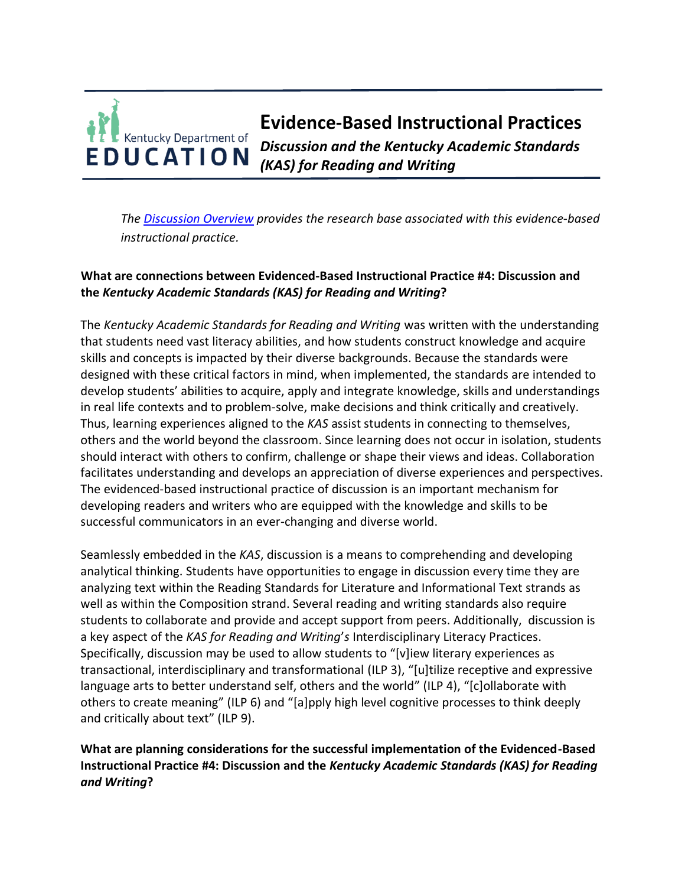## **Evidence-Based Instructional Practices**  Kentucky Department of *Discussion and the Kentucky Academic Standards*  **EDUCATION** *(KAS) for Reading and Writing*

*The [Discussion Overview](https://education.ky.gov/curriculum/standards/kyacadstand/Documents/EBIP_4_Discussion.pdf) provides the research base associated with this evidence-based instructional practice.*

# **What are connections between Evidenced-Based Instructional Practice #4: Discussion and the** *Kentucky Academic Standards (KAS) for Reading and Writing***?**

The *Kentucky Academic Standards for Reading and Writing* was written with the understanding that students need vast literacy abilities, and how students construct knowledge and acquire skills and concepts is impacted by their diverse backgrounds. Because the standards were designed with these critical factors in mind, when implemented, the standards are intended to develop students' abilities to acquire, apply and integrate knowledge, skills and understandings in real life contexts and to problem-solve, make decisions and think critically and creatively. Thus, learning experiences aligned to the *KAS* assist students in connecting to themselves, others and the world beyond the classroom. Since learning does not occur in isolation, students should interact with others to confirm, challenge or shape their views and ideas. Collaboration facilitates understanding and develops an appreciation of diverse experiences and perspectives. The evidenced-based instructional practice of discussion is an important mechanism for developing readers and writers who are equipped with the knowledge and skills to be successful communicators in an ever-changing and diverse world.

Seamlessly embedded in the *KAS*, discussion is a means to comprehending and developing analytical thinking. Students have opportunities to engage in discussion every time they are analyzing text within the Reading Standards for Literature and Informational Text strands as well as within the Composition strand. Several reading and writing standards also require students to collaborate and provide and accept support from peers. Additionally, discussion is a key aspect of the *KAS for Reading and Writing*'*s* Interdisciplinary Literacy Practices. Specifically, discussion may be used to allow students to "[v]iew literary experiences as transactional, interdisciplinary and transformational (ILP 3), "[u]tilize receptive and expressive language arts to better understand self, others and the world" (ILP 4), "[c]ollaborate with others to create meaning" (ILP 6) and "[a]pply high level cognitive processes to think deeply and critically about text" (ILP 9).

## **What are planning considerations for the successful implementation of the Evidenced-Based Instructional Practice #4: Discussion and the** *Kentucky Academic Standards (KAS) for Reading and Writing***?**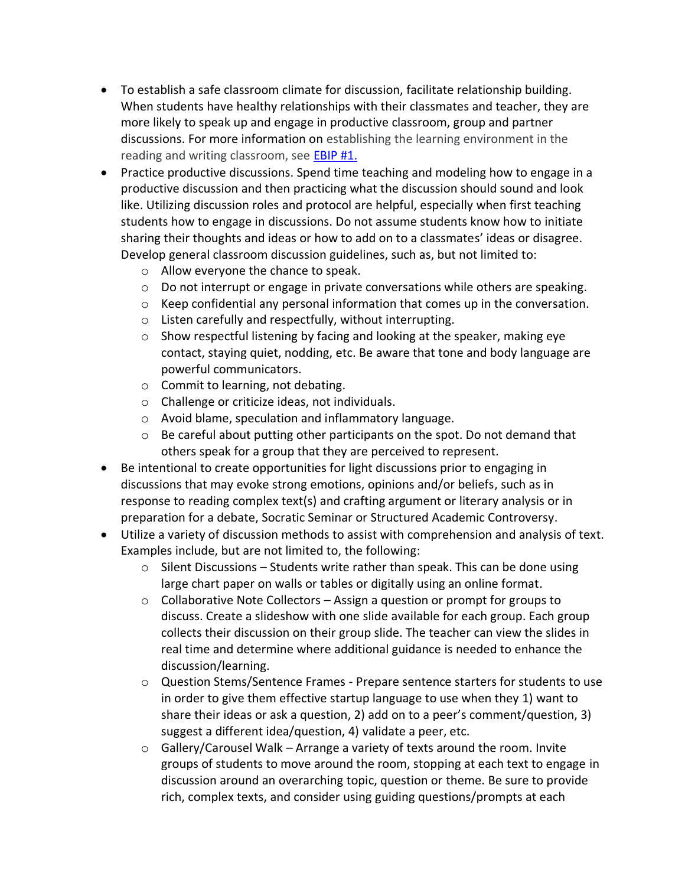- To establish a safe classroom climate for discussion, facilitate relationship building. When students have healthy relationships with their classmates and teacher, they are more likely to speak up and engage in productive classroom, group and partner discussions. For more information on establishing the learning environment in the reading and writing classroom, see [EBIP #1.](https://education.ky.gov/curriculum/standards/kyacadstand/Documents/EBIP_1_Mathematics.pdf)
- Practice productive discussions. Spend time teaching and modeling how to engage in a productive discussion and then practicing what the discussion should sound and look like. Utilizing discussion roles and protocol are helpful, especially when first teaching students how to engage in discussions. Do not assume students know how to initiate sharing their thoughts and ideas or how to add on to a classmates' ideas or disagree. Develop general classroom discussion guidelines, such as, but not limited to:
	- o Allow everyone the chance to speak.
	- $\circ$  Do not interrupt or engage in private conversations while others are speaking.
	- $\circ$  Keep confidential any personal information that comes up in the conversation.
	- o Listen carefully and respectfully, without interrupting.
	- o Show respectful listening by facing and looking at the speaker, making eye contact, staying quiet, nodding, etc. Be aware that tone and body language are powerful communicators.
	- o Commit to learning, not debating.
	- o Challenge or criticize ideas, not individuals.
	- o Avoid blame, speculation and inflammatory language.
	- $\circ$  Be careful about putting other participants on the spot. Do not demand that others speak for a group that they are perceived to represent.
- Be intentional to create opportunities for light discussions prior to engaging in discussions that may evoke strong emotions, opinions and/or beliefs, such as in response to reading complex text(s) and crafting argument or literary analysis or in preparation for a debate, Socratic Seminar or Structured Academic Controversy.
- Utilize a variety of discussion methods to assist with comprehension and analysis of text. Examples include, but are not limited to, the following:
	- o Silent Discussions Students write rather than speak. This can be done using large chart paper on walls or tables or digitally using an online format.
	- $\circ$  Collaborative Note Collectors Assign a question or prompt for groups to discuss. Create a slideshow with one slide available for each group. Each group collects their discussion on their group slide. The teacher can view the slides in real time and determine where additional guidance is needed to enhance the discussion/learning.
	- o Question Stems/Sentence Frames Prepare sentence starters for students to use in order to give them effective startup language to use when they 1) want to share their ideas or ask a question, 2) add on to a peer's comment/question, 3) suggest a different idea/question, 4) validate a peer, etc.
	- $\circ$  Gallery/Carousel Walk Arrange a variety of texts around the room. Invite groups of students to move around the room, stopping at each text to engage in discussion around an overarching topic, question or theme. Be sure to provide rich, complex texts, and consider using guiding questions/prompts at each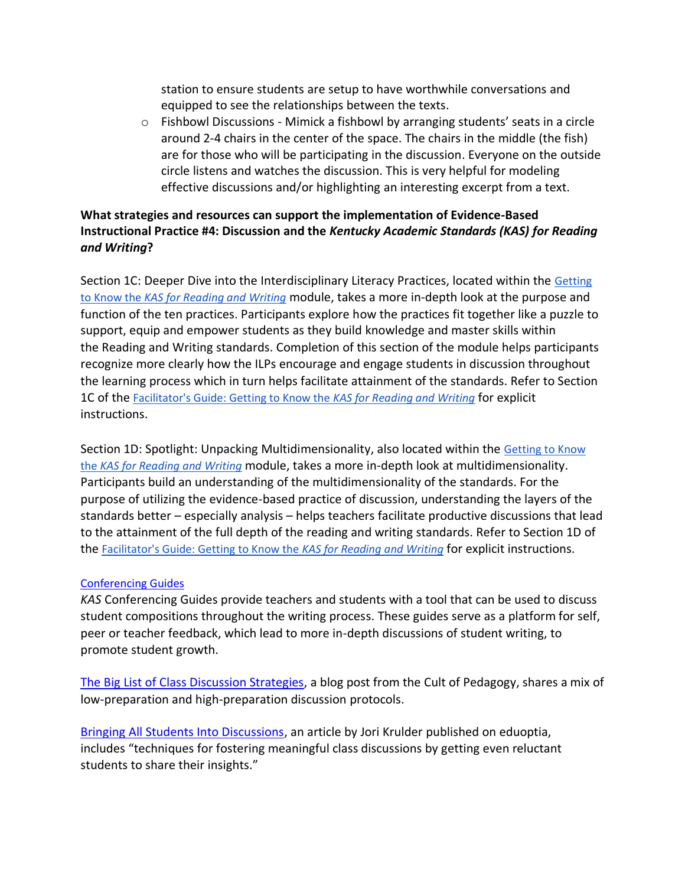station to ensure students are setup to have worthwhile conversations and equipped to see the relationships between the texts.

 $\circ$  Fishbowl Discussions - Mimick a fishbowl by arranging students' seats in a circle around 2-4 chairs in the center of the space. The chairs in the middle (the fish) are for those who will be participating in the discussion. Everyone on the outside circle listens and watches the discussion. This is very helpful for modeling effective discussions and/or highlighting an interesting excerpt from a text.

## **What strategies and resources can support the implementation of Evidence-Based Instructional Practice #4: Discussion and the** *Kentucky Academic Standards (KAS) for Reading and Writing***?**

Section 1C: Deeper Dive into the Interdisciplinary Literacy Practices, located within the [Getting](https://kystandards.org/wp-content/uploads/2019/06/Getting_to_Know_the_KAS_for_Reading_and_Writing.pptx)  to Know the *[KAS for Reading and Writing](https://kystandards.org/wp-content/uploads/2019/06/Getting_to_Know_the_KAS_for_Reading_and_Writing.pptx)* module, takes a more in-depth look at the purpose and function of the ten practices. Participants explore how the practices fit together like a puzzle to support, equip and empower students as they build knowledge and master skills within the Reading and Writing standards. Completion of this section of the module helps participants recognize more clearly how the ILPs encourage and engage students in discussion throughout the learning process which in turn helps facilitate attainment of the standards. Refer to Section 1C of the [Facilitator's Guide: Getting to Know the](https://kystandards.org/wp-content/uploads/2019/06/Facilitators_Guide_Getting_to_Know_the_KAS_for_Reading_and_Writing.pdf) *KAS for Reading and Writing* for explicit instructions.

Section 1D: Spotlight: Unpacking Multidimensionality, also located within the [Getting to Know](https://kystandards.org/wp-content/uploads/2019/06/Getting_to_Know_the_KAS_for_Reading_and_Writing.pptx)  the *[KAS for Reading and Writing](https://kystandards.org/wp-content/uploads/2019/06/Getting_to_Know_the_KAS_for_Reading_and_Writing.pptx)* module, takes a more in-depth look at multidimensionality. Participants build an understanding of the multidimensionality of the standards. For the purpose of utilizing the evidence-based practice of discussion, understanding the layers of the standards better – especially analysis – helps teachers facilitate productive discussions that lead to the attainment of the full depth of the reading and writing standards. Refer to Section 1D of the [Facilitator's Guide: Getting to Know the](https://kystandards.org/wp-content/uploads/2019/06/Facilitators_Guide_Getting_to_Know_the_KAS_for_Reading_and_Writing.pdf) *KAS for Reading and Writing* for explicit instructions.

#### [Conferencing Guides](https://kystandards.org/standards-resources/rw-resources/composition-resources/)

*KAS* Conferencing Guides provide teachers and students with a tool that can be used to discuss student compositions throughout the writing process. These guides serve as a platform for self, peer or teacher feedback, which lead to more in-depth discussions of student writing, to promote student growth.

[The Big List of Class Discussion Strategies,](https://www.cultofpedagogy.com/speaking-listening-techniques/) a blog post from the Cult of Pedagogy, shares a mix of low-preparation and high-preparation discussion protocols.

[Bringing All Students Into Discussions,](https://www.edutopia.org/article/bringing-all-students-discussions) an article by Jori Krulder published on eduoptia, includes "techniques for fostering meaningful class discussions by getting even reluctant students to share their insights."